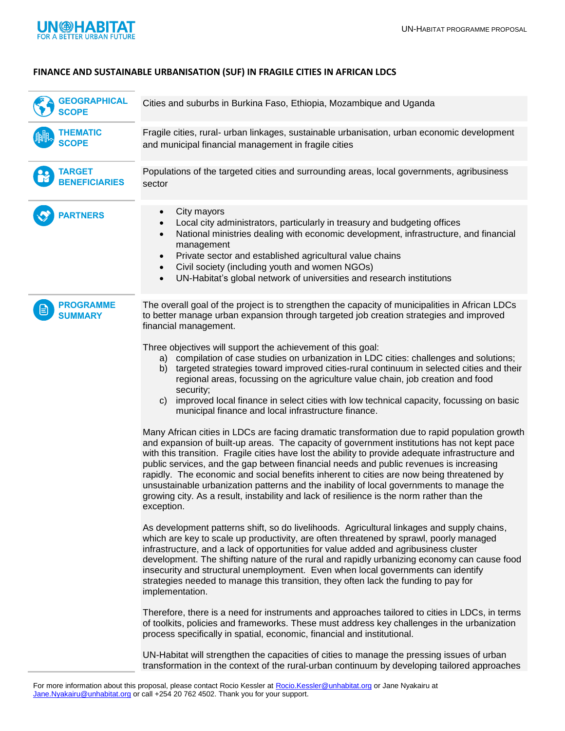

## **FINANCE AND SUSTAINABLE URBANISATION (SUF) IN FRAGILE CITIES IN AFRICAN LDCS**

| <b>GEOGRAPHICAL</b><br><b>SCOPE</b>   | Cities and suburbs in Burkina Faso, Ethiopia, Mozambique and Uganda                                                                                                                                                                                                                                                                                                                                                                                                                                                                                                                                                                                                                                                                                                                                                                                                                                                                                                                                                                                                                                                                                                                                                                                                                                                                                                                                                                                                                                                                                                                                                                                                                                                                                                                                                                                                                                                                                                                                                                                                                                                                                                                                                                                                                             |
|---------------------------------------|-------------------------------------------------------------------------------------------------------------------------------------------------------------------------------------------------------------------------------------------------------------------------------------------------------------------------------------------------------------------------------------------------------------------------------------------------------------------------------------------------------------------------------------------------------------------------------------------------------------------------------------------------------------------------------------------------------------------------------------------------------------------------------------------------------------------------------------------------------------------------------------------------------------------------------------------------------------------------------------------------------------------------------------------------------------------------------------------------------------------------------------------------------------------------------------------------------------------------------------------------------------------------------------------------------------------------------------------------------------------------------------------------------------------------------------------------------------------------------------------------------------------------------------------------------------------------------------------------------------------------------------------------------------------------------------------------------------------------------------------------------------------------------------------------------------------------------------------------------------------------------------------------------------------------------------------------------------------------------------------------------------------------------------------------------------------------------------------------------------------------------------------------------------------------------------------------------------------------------------------------------------------------------------------------|
| <b>THEMATIC</b><br><b>SCOPE</b>       | Fragile cities, rural- urban linkages, sustainable urbanisation, urban economic development<br>and municipal financial management in fragile cities                                                                                                                                                                                                                                                                                                                                                                                                                                                                                                                                                                                                                                                                                                                                                                                                                                                                                                                                                                                                                                                                                                                                                                                                                                                                                                                                                                                                                                                                                                                                                                                                                                                                                                                                                                                                                                                                                                                                                                                                                                                                                                                                             |
| <b>TARGET</b><br><b>BENEFICIARIES</b> | Populations of the targeted cities and surrounding areas, local governments, agribusiness<br>sector                                                                                                                                                                                                                                                                                                                                                                                                                                                                                                                                                                                                                                                                                                                                                                                                                                                                                                                                                                                                                                                                                                                                                                                                                                                                                                                                                                                                                                                                                                                                                                                                                                                                                                                                                                                                                                                                                                                                                                                                                                                                                                                                                                                             |
| <b>PARTNERS</b>                       | City mayors<br>$\bullet$<br>Local city administrators, particularly in treasury and budgeting offices<br>$\bullet$<br>National ministries dealing with economic development, infrastructure, and financial<br>$\bullet$<br>management<br>Private sector and established agricultural value chains<br>$\bullet$<br>Civil society (including youth and women NGOs)<br>$\bullet$<br>UN-Habitat's global network of universities and research institutions<br>$\bullet$                                                                                                                                                                                                                                                                                                                                                                                                                                                                                                                                                                                                                                                                                                                                                                                                                                                                                                                                                                                                                                                                                                                                                                                                                                                                                                                                                                                                                                                                                                                                                                                                                                                                                                                                                                                                                             |
| <b>PROGRAMME</b><br><b>SUMMARY</b>    | The overall goal of the project is to strengthen the capacity of municipalities in African LDCs<br>to better manage urban expansion through targeted job creation strategies and improved<br>financial management.<br>Three objectives will support the achievement of this goal:<br>a) compilation of case studies on urbanization in LDC cities: challenges and solutions;<br>targeted strategies toward improved cities-rural continuum in selected cities and their<br>b)<br>regional areas, focussing on the agriculture value chain, job creation and food<br>security;<br>improved local finance in select cities with low technical capacity, focussing on basic<br>C)<br>municipal finance and local infrastructure finance.<br>Many African cities in LDCs are facing dramatic transformation due to rapid population growth<br>and expansion of built-up areas. The capacity of government institutions has not kept pace<br>with this transition. Fragile cities have lost the ability to provide adequate infrastructure and<br>public services, and the gap between financial needs and public revenues is increasing<br>rapidly. The economic and social benefits inherent to cities are now being threatened by<br>unsustainable urbanization patterns and the inability of local governments to manage the<br>growing city. As a result, instability and lack of resilience is the norm rather than the<br>exception.<br>As development patterns shift, so do livelihoods. Agricultural linkages and supply chains,<br>which are key to scale up productivity, are often threatened by sprawl, poorly managed<br>infrastructure, and a lack of opportunities for value added and agribusiness cluster<br>development. The shifting nature of the rural and rapidly urbanizing economy can cause food<br>insecurity and structural unemployment. Even when local governments can identify<br>strategies needed to manage this transition, they often lack the funding to pay for<br>implementation.<br>Therefore, there is a need for instruments and approaches tailored to cities in LDCs, in terms<br>of toolkits, policies and frameworks. These must address key challenges in the urbanization<br>process specifically in spatial, economic, financial and institutional. |
|                                       | UN-Habitat will strengthen the capacities of cities to manage the pressing issues of urban<br>transformation in the context of the rural-urban continuum by developing tailored approaches                                                                                                                                                                                                                                                                                                                                                                                                                                                                                                                                                                                                                                                                                                                                                                                                                                                                                                                                                                                                                                                                                                                                                                                                                                                                                                                                                                                                                                                                                                                                                                                                                                                                                                                                                                                                                                                                                                                                                                                                                                                                                                      |